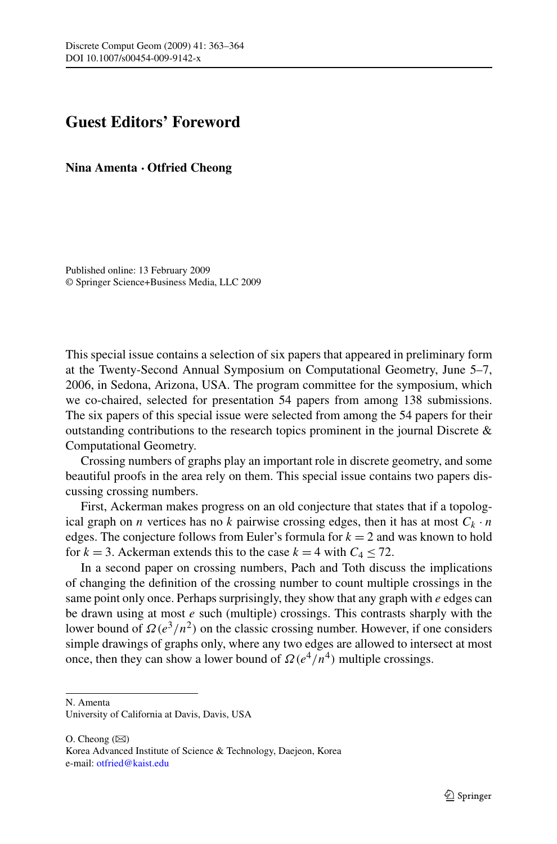## **Guest Editors' Foreword**

**Nina Amenta · Otfried Cheong**

Published online: 13 February 2009 © Springer Science+Business Media, LLC 2009

This special issue contains a selection of six papers that appeared in preliminary form at the Twenty-Second Annual Symposium on Computational Geometry, June 5–7, 2006, in Sedona, Arizona, USA. The program committee for the symposium, which we co-chaired, selected for presentation 54 papers from among 138 submissions. The six papers of this special issue were selected from among the 54 papers for their outstanding contributions to the research topics prominent in the journal Discrete & Computational Geometry.

Crossing numbers of graphs play an important role in discrete geometry, and some beautiful proofs in the area rely on them. This special issue contains two papers discussing crossing numbers.

First, Ackerman makes progress on an old conjecture that states that if a topological graph on *n* vertices has no *k* pairwise crossing edges, then it has at most  $C_k \cdot n$ edges. The conjecture follows from Euler's formula for  $k = 2$  and was known to hold for  $k = 3$ . Ackerman extends this to the case  $k = 4$  with  $C_4 \le 72$ .

In a second paper on crossing numbers, Pach and Toth discuss the implications of changing the definition of the crossing number to count multiple crossings in the same point only once. Perhaps surprisingly, they show that any graph with *e* edges can be drawn using at most *e* such (multiple) crossings. This contrasts sharply with the lower bound of  $\Omega(e^3/n^2)$  on the classic crossing number. However, if one considers simple drawings of graphs only, where any two edges are allowed to intersect at most once, then they can show a lower bound of  $\Omega(e^4/n^4)$  multiple crossings.

N. Amenta

 $O.$  Cheong  $(\boxtimes)$ Korea Advanced Institute of Science & Technology, Daejeon, Korea e-mail: [otfried@kaist.edu](mailto:otfried@kaist.edu)

University of California at Davis, Davis, USA